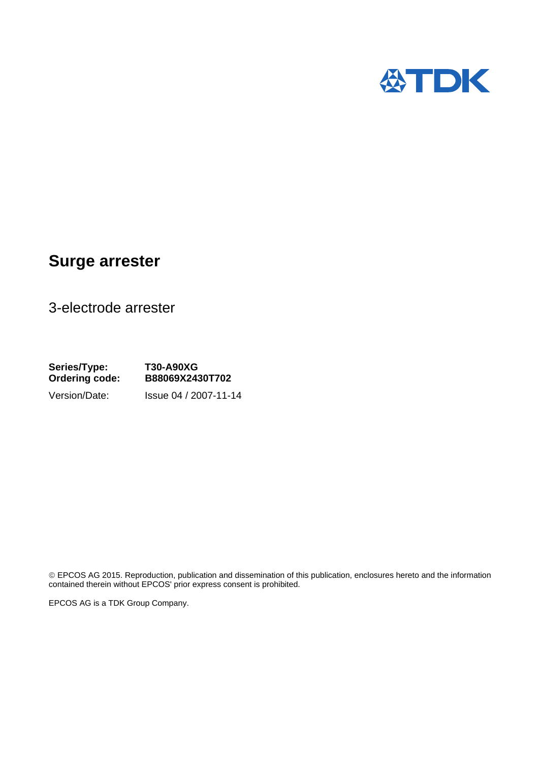

## **Surge arrester**

3-electrode arrester

**Series/Type: T30-A90XG Ordering code: B88069X2430T702**  Version/Date: Issue 04 / 2007-11-14

© EPCOS AG 2015. Reproduction, publication and dissemination of this publication, enclosures hereto and the information contained therein without EPCOS' prior express consent is prohibited.

EPCOS AG is a TDK Group Company.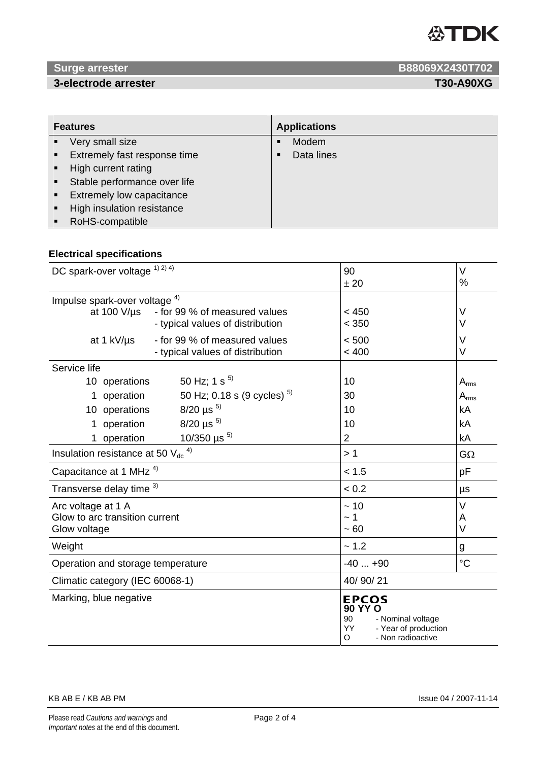

### **3-electrode arrester T30-A90XG**

**EXAMPLE 20 ATTENUES ARRANGEMENT CONTROLLER CONTROLLER CONTROLLER CONTROLLER CONTROLLER CONTROLLER CONTROLLER CONTROLLER CONTROLLER CONTROLLER CONTROLLER CONTROLLER CONTROLLER CONTROLLER CONTROLLER CONTROLLER CONTROLLER CO** 

| <b>Features</b> |                              | <b>Applications</b> |            |
|-----------------|------------------------------|---------------------|------------|
|                 | Very small size              |                     | Modem      |
|                 | Extremely fast response time | ▪                   | Data lines |
|                 | High current rating          |                     |            |
|                 | Stable performance over life |                     |            |
|                 | Extremely low capacitance    |                     |            |
|                 | High insulation resistance   |                     |            |
|                 | RoHS-compatible              |                     |            |

### **Electrical specifications**

| DC spark-over voltage 1) 2) 4)           |                                                                   | 90<br>± 20                                                                                                        | $\vee$<br>% |
|------------------------------------------|-------------------------------------------------------------------|-------------------------------------------------------------------------------------------------------------------|-------------|
| Impulse spark-over voltage <sup>4)</sup> |                                                                   |                                                                                                                   |             |
| at $100 V/\mu s$                         | - for 99 % of measured values<br>- typical values of distribution | < 450<br>< 350                                                                                                    | V<br>V      |
| at 1 kV/us                               | - for 99 % of measured values<br>- typical values of distribution | < 500<br>< 400                                                                                                    | V<br>$\vee$ |
| Service life                             |                                                                   |                                                                                                                   |             |
| 10 operations                            | 50 Hz; 1 s $^{5)}$                                                | 10                                                                                                                | $A_{rms}$   |
| operation<br>1                           | 50 Hz; 0.18 s (9 cycles) $^{5)}$                                  | 30                                                                                                                | $A_{rms}$   |
| 10 operations                            | $8/20 \mu s^{5}$                                                  | 10                                                                                                                | kA          |
| operation<br>1                           | $8/20 \mu s^{5}$                                                  | 10                                                                                                                | kA          |
| operation<br>1                           | 10/350 $\mu$ s <sup>5)</sup>                                      | $\overline{2}$                                                                                                    | kA          |
| Insulation resistance at 50 Vdc          |                                                                   | >1                                                                                                                | $G\Omega$   |
| Capacitance at 1 MHz <sup>4)</sup>       |                                                                   | < 1.5                                                                                                             | pF          |
| Transverse delay time 3)                 |                                                                   | < 0.2                                                                                                             | μs          |
| Arc voltage at 1 A                       |                                                                   | ~10                                                                                                               | V           |
| Glow to arc transition current           |                                                                   | ~ 1                                                                                                               | A           |
| Glow voltage                             |                                                                   | ~100                                                                                                              | V           |
| Weight                                   |                                                                   | ~1.2                                                                                                              | g           |
| Operation and storage temperature        |                                                                   | $-40+90$                                                                                                          | $^{\circ}C$ |
| Climatic category (IEC 60068-1)          |                                                                   | 40/90/21                                                                                                          |             |
| Marking, blue negative                   |                                                                   | <b>EPCOS</b><br><b>90 YY O</b><br>- Nominal voltage<br>90<br>- Year of production<br>YY<br>O<br>- Non radioactive |             |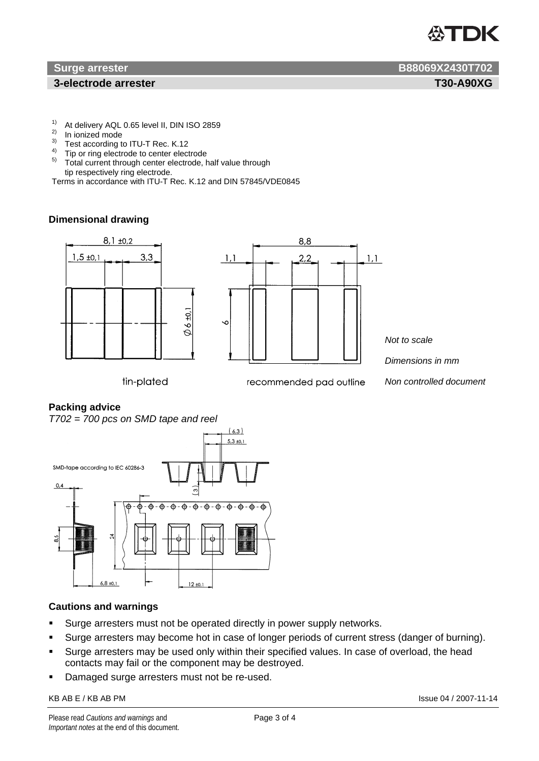# TDK

#### **3-electrode arrester T30-A90XG**

- <sup>1)</sup> At delivery AQL 0.65 level II, DIN ISO 2859
- <sup>2)</sup> In ionized mode
- $\frac{3}{4}$  Test according to ITU-T Rec. K.12
- $^{4)}$  Tip or ring electrode to center electrode<br> $^{5)}$  Total current through easter electrode
- Total current through center electrode, half value through tip respectively ring electrode.
- Terms in accordance with ITU-T Rec. K.12 and DIN 57845/VDE0845

#### **Dimensional drawing**



#### **Packing advice**

*T702 = 700 pcs on SMD tape and reel* 



#### **Cautions and warnings**

- **Surge arresters must not be operated directly in power supply networks.**
- Surge arresters may become hot in case of longer periods of current stress (danger of burning).
- **Surge arresters may be used only within their specified values. In case of overload, the head** contacts may fail or the component may be destroyed.
- Damaged surge arresters must not be re-used.

#### KB AB E / KB AB PM Issue 04 / 2007-11-14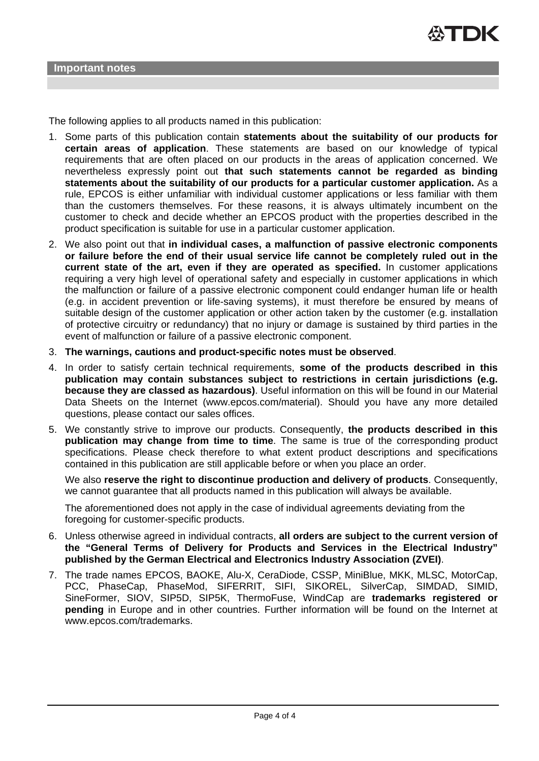The following applies to all products named in this publication:

- 1. Some parts of this publication contain **statements about the suitability of our products for certain areas of application**. These statements are based on our knowledge of typical requirements that are often placed on our products in the areas of application concerned. We nevertheless expressly point out **that such statements cannot be regarded as binding statements about the suitability of our products for a particular customer application.** As a rule, EPCOS is either unfamiliar with individual customer applications or less familiar with them than the customers themselves. For these reasons, it is always ultimately incumbent on the customer to check and decide whether an EPCOS product with the properties described in the product specification is suitable for use in a particular customer application.
- 2. We also point out that **in individual cases, a malfunction of passive electronic components or failure before the end of their usual service life cannot be completely ruled out in the current state of the art, even if they are operated as specified.** In customer applications requiring a very high level of operational safety and especially in customer applications in which the malfunction or failure of a passive electronic component could endanger human life or health (e.g. in accident prevention or life-saving systems), it must therefore be ensured by means of suitable design of the customer application or other action taken by the customer (e.g. installation of protective circuitry or redundancy) that no injury or damage is sustained by third parties in the event of malfunction or failure of a passive electronic component.
- 3. **The warnings, cautions and product-specific notes must be observed**.
- 4. In order to satisfy certain technical requirements, **some of the products described in this publication may contain substances subject to restrictions in certain jurisdictions (e.g. because they are classed as hazardous)**. Useful information on this will be found in our Material Data Sheets on the Internet (www.epcos.com/material). Should you have any more detailed questions, please contact our sales offices.
- 5. We constantly strive to improve our products. Consequently, **the products described in this publication may change from time to time**. The same is true of the corresponding product specifications. Please check therefore to what extent product descriptions and specifications contained in this publication are still applicable before or when you place an order.

We also **reserve the right to discontinue production and delivery of products**. Consequently, we cannot guarantee that all products named in this publication will always be available.

The aforementioned does not apply in the case of individual agreements deviating from the foregoing for customer-specific products.

- 6. Unless otherwise agreed in individual contracts, **all orders are subject to the current version of the "General Terms of Delivery for Products and Services in the Electrical Industry" published by the German Electrical and Electronics Industry Association (ZVEI)**.
- 7. The trade names EPCOS, BAOKE, Alu-X, CeraDiode, CSSP, MiniBlue, MKK, MLSC, MotorCap, PCC, PhaseCap, PhaseMod, SIFERRIT, SIFI, SIKOREL, SilverCap, SIMDAD, SIMID, SineFormer, SIOV, SIP5D, SIP5K, ThermoFuse, WindCap are **trademarks registered or pending** in Europe and in other countries. Further information will be found on the Internet at www.epcos.com/trademarks.